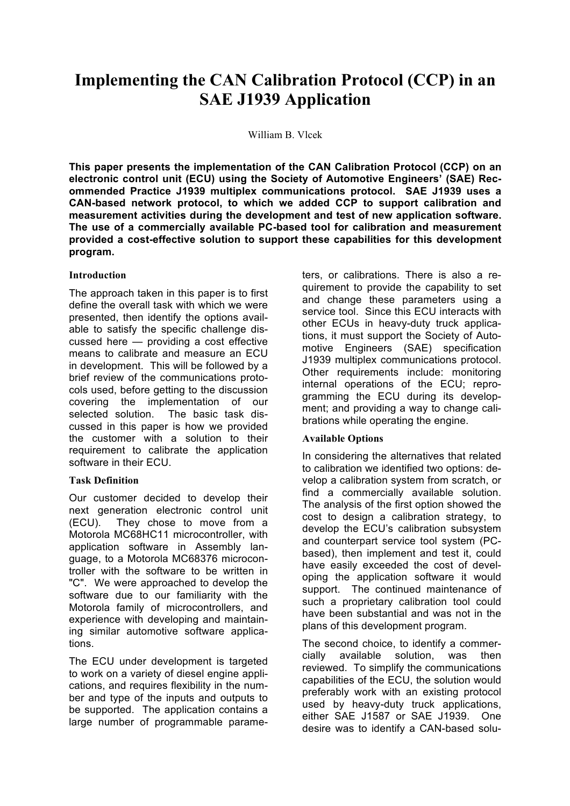# **Implementing the CAN Calibration Protocol (CCP) in an SAE J1939 Application**

William B. Vlcek

**This paper presents the implementation of the CAN Calibration Protocol (CCP) on an electronic control unit (ECU) using the Society of Automotive Engineers' (SAE) Recommended Practice J1939 multiplex communications protocol. SAE J1939 uses a CAN-based network protocol, to which we added CCP to support calibration and measurement activities during the development and test of new application software. The use of a commercially available PC-based tool for calibration and measurement provided a cost-effective solution to support these capabilities for this development program.**

#### **Introduction**

The approach taken in this paper is to first define the overall task with which we were presented, then identify the options available to satisfy the specific challenge discussed here — providing a cost effective means to calibrate and measure an ECU in development. This will be followed by a brief review of the communications protocols used, before getting to the discussion covering the implementation of our selected solution. The basic task discussed in this paper is how we provided the customer with a solution to their requirement to calibrate the application software in their ECU.

# **Task Definition**

Our customer decided to develop their next generation electronic control unit (ECU). They chose to move from a Motorola MC68HC11 microcontroller, with application software in Assembly language, to a Motorola MC68376 microcontroller with the software to be written in "C". We were approached to develop the software due to our familiarity with the Motorola family of microcontrollers, and experience with developing and maintaining similar automotive software applications.

The ECU under development is targeted to work on a variety of diesel engine applications, and requires flexibility in the number and type of the inputs and outputs to be supported. The application contains a large number of programmable parameters, or calibrations. There is also a requirement to provide the capability to set and change these parameters using a service tool. Since this ECU interacts with other ECUs in heavy-duty truck applications, it must support the Society of Automotive Engineers (SAE) specification J1939 multiplex communications protocol. Other requirements include: monitoring internal operations of the ECU; reprogramming the ECU during its development; and providing a way to change calibrations while operating the engine.

# **Available Options**

In considering the alternatives that related to calibration we identified two options: develop a calibration system from scratch, or find a commercially available solution. The analysis of the first option showed the cost to design a calibration strategy, to develop the ECU's calibration subsystem and counterpart service tool system (PCbased), then implement and test it, could have easily exceeded the cost of developing the application software it would support. The continued maintenance of such a proprietary calibration tool could have been substantial and was not in the plans of this development program.

The second choice, to identify a commercially available solution, was then reviewed. To simplify the communications capabilities of the ECU, the solution would preferably work with an existing protocol used by heavy-duty truck applications, either SAE J1587 or SAE J1939. One desire was to identify a CAN-based solu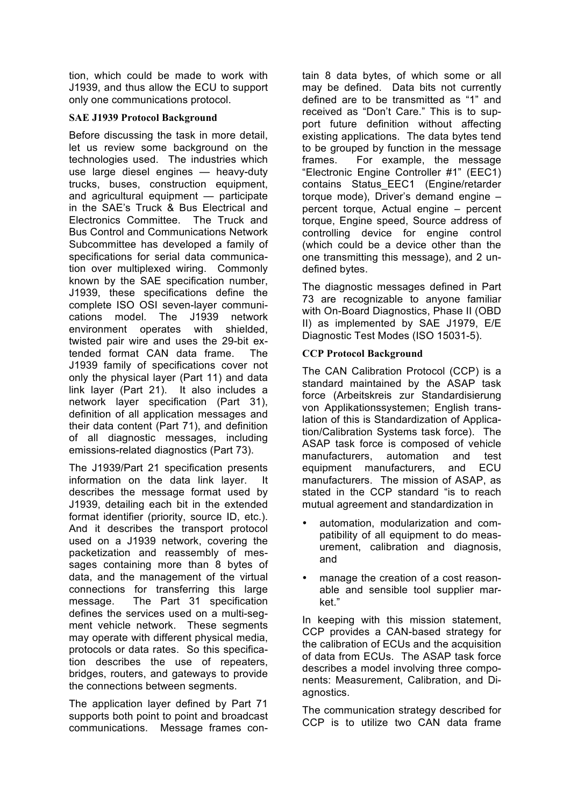tion, which could be made to work with J1939, and thus allow the ECU to support only one communications protocol.

### **SAE J1939 Protocol Background**

Before discussing the task in more detail, let us review some background on the technologies used. The industries which use large diesel engines — heavy-duty trucks, buses, construction equipment, and agricultural equipment — participate in the SAE's Truck & Bus Electrical and Electronics Committee. The Truck and Bus Control and Communications Network Subcommittee has developed a family of specifications for serial data communication over multiplexed wiring. Commonly known by the SAE specification number, J1939, these specifications define the complete ISO OSI seven-layer communications model. The J1939 network environment operates with shielded, twisted pair wire and uses the 29-bit extended format CAN data frame. The J1939 family of specifications cover not only the physical layer (Part 11) and data link layer (Part 21). It also includes a network layer specification (Part 31), definition of all application messages and their data content (Part 71), and definition of all diagnostic messages, including emissions-related diagnostics (Part 73).

The J1939/Part 21 specification presents information on the data link layer. It describes the message format used by J1939, detailing each bit in the extended format identifier (priority, source ID, etc.). And it describes the transport protocol used on a J1939 network, covering the packetization and reassembly of messages containing more than 8 bytes of data, and the management of the virtual connections for transferring this large message. The Part 31 specification defines the services used on a multi-segment vehicle network. These segments may operate with different physical media, protocols or data rates. So this specification describes the use of repeaters, bridges, routers, and gateways to provide the connections between segments.

The application layer defined by Part 71 supports both point to point and broadcast communications. Message frames contain 8 data bytes, of which some or all may be defined. Data bits not currently defined are to be transmitted as "1" and received as "Don't Care." This is to support future definition without affecting existing applications. The data bytes tend to be grouped by function in the message frames. For example, the message "Electronic Engine Controller #1" (EEC1) contains Status\_EEC1 (Engine/retarder torque mode), Driver's demand engine – percent torque, Actual engine – percent torque, Engine speed, Source address of controlling device for engine control (which could be a device other than the one transmitting this message), and 2 undefined bytes.

The diagnostic messages defined in Part 73 are recognizable to anyone familiar with On-Board Diagnostics, Phase II (OBD II) as implemented by SAE J1979, E/E Diagnostic Test Modes (ISO 15031-5).

### **CCP Protocol Background**

The CAN Calibration Protocol (CCP) is a standard maintained by the ASAP task force (Arbeitskreis zur Standardisierung von Applikationssystemen; English translation of this is Standardization of Application/Calibration Systems task force). The ASAP task force is composed of vehicle manufacturers, automation and test equipment manufacturers, and ECU manufacturers. The mission of ASAP, as stated in the CCP standard "is to reach mutual agreement and standardization in

- automation, modularization and compatibility of all equipment to do measurement, calibration and diagnosis, and
- manage the creation of a cost reasonable and sensible tool supplier market."

In keeping with this mission statement, CCP provides a CAN-based strategy for the calibration of ECUs and the acquisition of data from ECUs. The ASAP task force describes a model involving three components: Measurement, Calibration, and Diagnostics.

The communication strategy described for CCP is to utilize two CAN data frame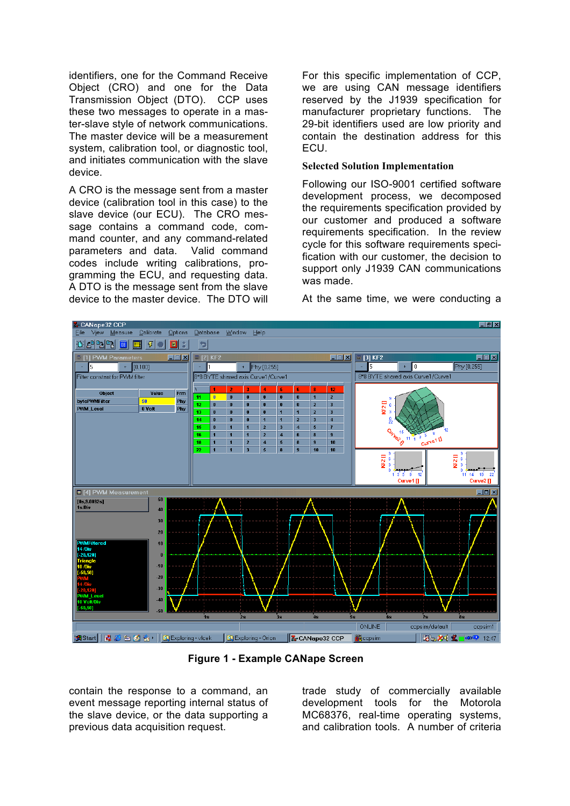identifiers, one for the Command Receive Object (CRO) and one for the Data Transmission Object (DTO). CCP uses these two messages to operate in a master-slave style of network communications. The master device will be a measurement system, calibration tool, or diagnostic tool, and initiates communication with the slave device.

A CRO is the message sent from a master device (calibration tool in this case) to the slave device (our ECU). The CRO message contains a command code, command counter, and any command-related parameters and data. Valid command codes include writing calibrations, programming the ECU, and requesting data. A DTO is the message sent from the slave device to the master device. The DTO will

For this specific implementation of CCP, we are using CAN message identifiers reserved by the J1939 specification for manufacturer proprietary functions. The 29-bit identifiers used are low priority and contain the destination address for this ECU.

#### **Selected Solution Implementation**

Following our ISO-9001 certified software development process, we decomposed the requirements specification provided by our customer and produced a software requirements specification. In the review cycle for this software requirements specification with our customer, the decision to support only J1939 CAN communications was made.

At the same time, we were conducting a



**Figure 1 - Example CANape Screen**

contain the response to a command, an event message reporting internal status of the slave device, or the data supporting a previous data acquisition request.

trade study of commercially available development tools for the Motorola MC68376, real-time operating systems, and calibration tools. A number of criteria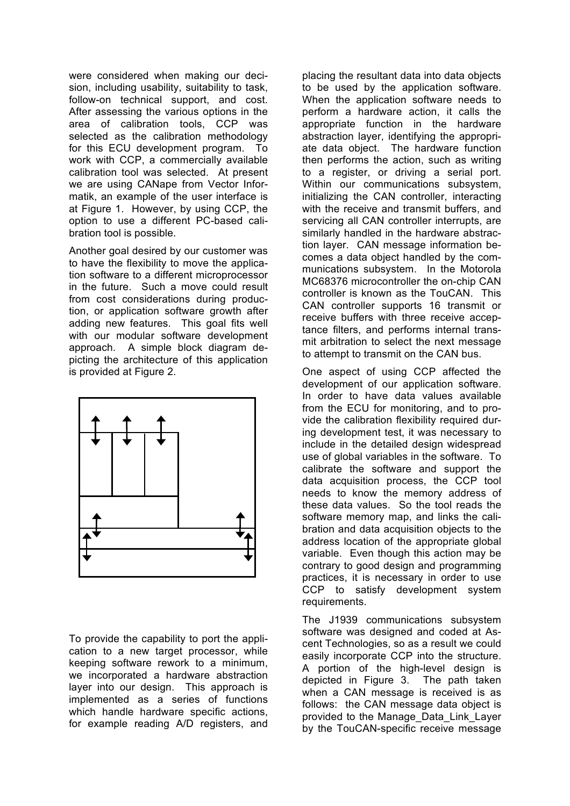were considered when making our decision, including usability, suitability to task, follow-on technical support, and cost. After assessing the various options in the area of calibration tools, CCP was selected as the calibration methodology for this ECU development program. To work with CCP, a commercially available calibration tool was selected. At present we are using CANape from Vector Informatik, an example of the user interface is at Figure 1. However, by using CCP, the option to use a different PC-based calibration tool is possible.

Another goal desired by our customer was to have the flexibility to move the application software to a different microprocessor in the future. Such a move could result from cost considerations during production, or application software growth after adding new features. This goal fits well with our modular software development approach. A simple block diagram depicting the architecture of this application is provided at Figure 2.



To provide the capability to port the application to a new target processor, while keeping software rework to a minimum, we incorporated a hardware abstraction layer into our design. This approach is implemented as a series of functions which handle hardware specific actions, for example reading A/D registers, and

placing the resultant data into data objects to be used by the application software. When the application software needs to perform a hardware action, it calls the appropriate function in the hardware abstraction layer, identifying the appropriate data object. The hardware function then performs the action, such as writing to a register, or driving a serial port. Within our communications subsystem. initializing the CAN controller, interacting with the receive and transmit buffers, and servicing all CAN controller interrupts, are similarly handled in the hardware abstraction layer. CAN message information becomes a data object handled by the communications subsystem. In the Motorola MC68376 microcontroller the on-chip CAN controller is known as the TouCAN. This CAN controller supports 16 transmit or receive buffers with three receive acceptance filters, and performs internal transmit arbitration to select the next message to attempt to transmit on the CAN bus.

One aspect of using CCP affected the development of our application software. In order to have data values available from the ECU for monitoring, and to provide the calibration flexibility required during development test, it was necessary to include in the detailed design widespread use of global variables in the software. To calibrate the software and support the data acquisition process, the CCP tool needs to know the memory address of these data values. So the tool reads the software memory map, and links the calibration and data acquisition objects to the address location of the appropriate global variable. Even though this action may be contrary to good design and programming practices, it is necessary in order to use CCP to satisfy development system requirements.

The J1939 communications subsystem software was designed and coded at Ascent Technologies, so as a result we could easily incorporate CCP into the structure. A portion of the high-level design is depicted in Figure 3. The path taken when a CAN message is received is as follows: the CAN message data object is provided to the Manage\_Data\_Link\_Layer by the TouCAN-specific receive message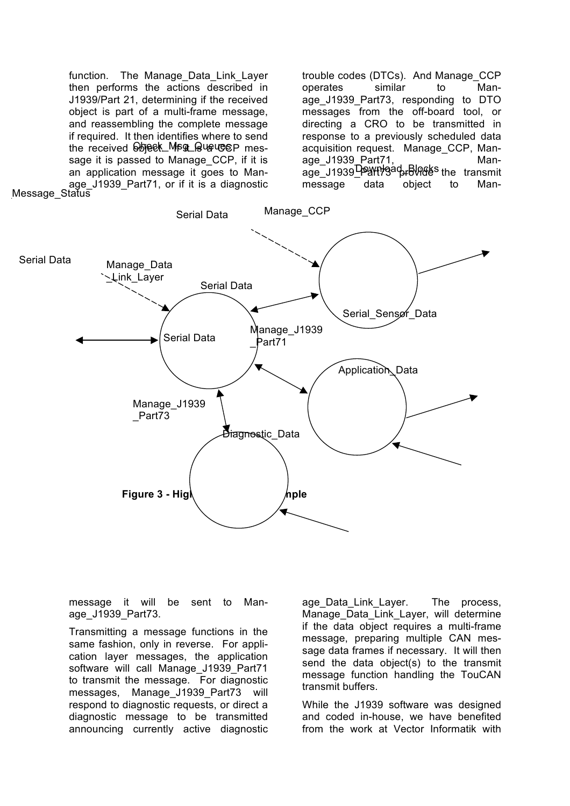function. The Manage Data Link Layer then performs the actions described in J1939/Part 21, determining if the received object is part of a multi-frame message, and reassembling the complete message if required. It then identifies where to send the received bbjeck\_Msg\_QueuceP message it is passed to Manage CCP, if it is an application message it goes to Manage J1939 Part71, or if it is a diagnostic trouble codes (DTCs). And Manage\_CCP operates similar to Manage\_J1939\_Part73, responding to DTO messages from the off-board tool, or directing a CRO to be transmitted in response to a previously scheduled data acquisition request. Manage\_CCP, Manage\_J1939\_Part71, Manage\_J1939<del>\_Payt19</del> address the transmit message data object to Man-



message it will be sent to Manage\_J1939\_Part73.

Transmitting a message functions in the same fashion, only in reverse. For application layer messages, the application software will call Manage J1939 Part71 to transmit the message. For diagnostic messages, Manage J1939 Part73 will respond to diagnostic requests, or direct a diagnostic message to be transmitted announcing currently active diagnostic age Data Link Layer. The process, Manage Data Link Layer, will determine if the data object requires a multi-frame message, preparing multiple CAN message data frames if necessary. It will then send the data object(s) to the transmit message function handling the TouCAN transmit buffers.

While the J1939 software was designed and coded in-house, we have benefited from the work at Vector Informatik with